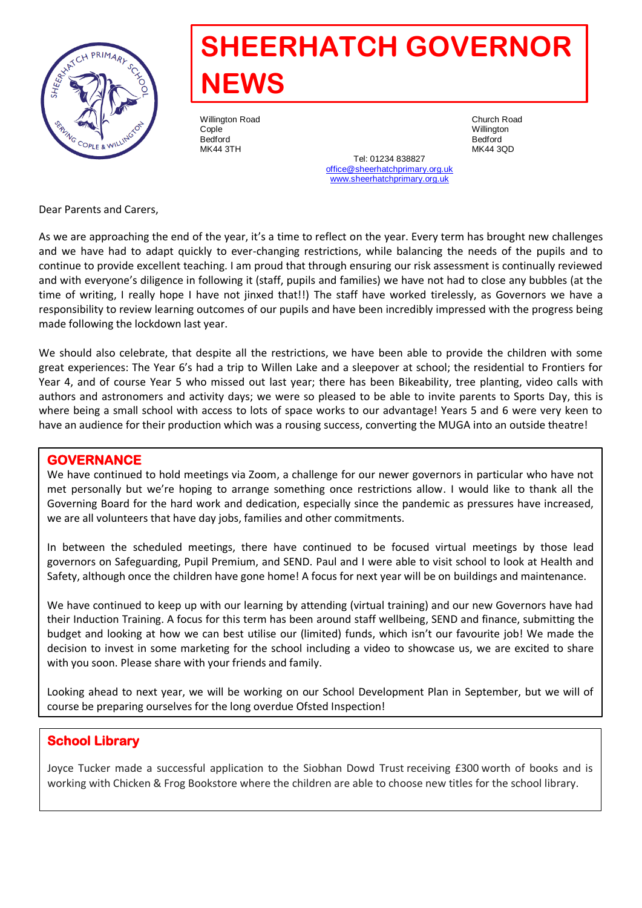

# **SHEERHATCH GOVERNOR NEWS**

Willington Road Church Road Cople Willington Bedford Bedford

MK44 3TH MK44 3QD Tel: 01234 838827 [office@sheerhatchprimary.org.uk](mailto:office@sheerhatchprimary.org.uk) [www.sheerhatchprimary.org.uk](http://www.sheerhatchprimary.org.uk/)

Dear Parents and Carers,

As we are approaching the end of the year, it's a time to reflect on the year. Every term has brought new challenges and we have had to adapt quickly to ever-changing restrictions, while balancing the needs of the pupils and to continue to provide excellent teaching. I am proud that through ensuring our risk assessment is continually reviewed and with everyone's diligence in following it (staff, pupils and families) we have not had to close any bubbles (at the time of writing, I really hope I have not jinxed that!!) The staff have worked tirelessly, as Governors we have a responsibility to review learning outcomes of our pupils and have been incredibly impressed with the progress being made following the lockdown last year.

We should also celebrate, that despite all the restrictions, we have been able to provide the children with some great experiences: The Year 6's had a trip to Willen Lake and a sleepover at school; the residential to Frontiers for Year 4, and of course Year 5 who missed out last year; there has been Bikeability, tree planting, video calls with authors and astronomers and activity days; we were so pleased to be able to invite parents to Sports Day, this is where being a small school with access to lots of space works to our advantage! Years 5 and 6 were very keen to have an audience for their production which was a rousing success, converting the MUGA into an outside theatre!

#### **GOVERNANCE**

We have continued to hold meetings via Zoom, a challenge for our newer governors in particular who have not met personally but we're hoping to arrange something once restrictions allow. I would like to thank all the Governing Board for the hard work and dedication, especially since the pandemic as pressures have increased, we are all volunteers that have day jobs, families and other commitments.

In between the scheduled meetings, there have continued to be focused virtual meetings by those lead governors on Safeguarding, Pupil Premium, and SEND. Paul and I were able to visit school to look at Health and Safety, although once the children have gone home! A focus for next year will be on buildings and maintenance.

We have continued to keep up with our learning by attending (virtual training) and our new Governors have had their Induction Training. A focus for this term has been around staff wellbeing, SEND and finance, submitting the budget and looking at how we can best utilise our (limited) funds, which isn't our favourite job! We made the decision to invest in some marketing for the school including a video to showcase us, we are excited to share with you soon. Please share with your friends and family.

Looking ahead to next year, we will be working on our School Development Plan in September, but we will of course be preparing ourselves for the long overdue Ofsted Inspection!

## **School Library**

Joyce Tucker made a successful application to the Siobhan Dowd Trust receiving £300 worth of books and is working with Chicken & Frog Bookstore where the children are able to choose new titles for the school library.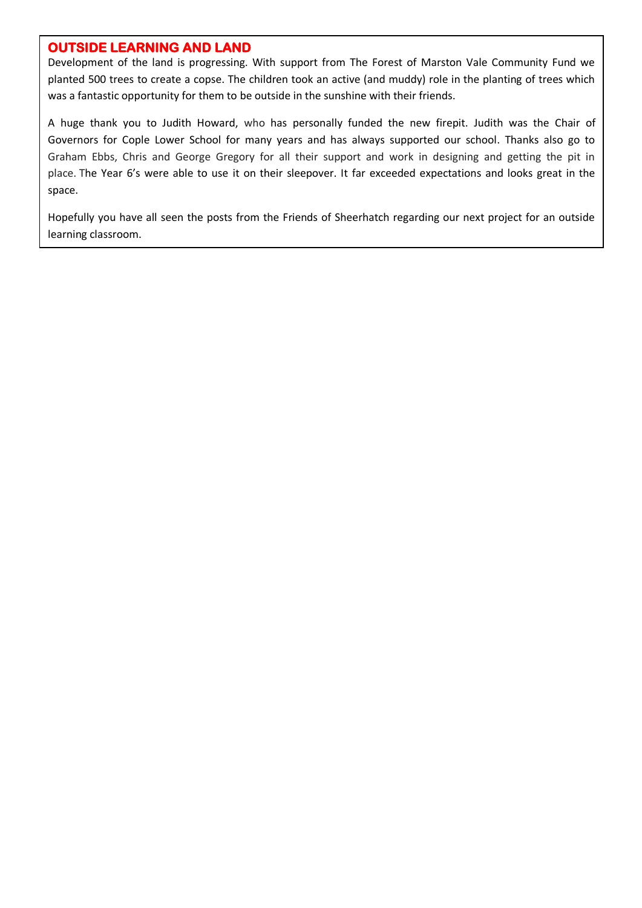## **OUTSIDE LEARNING AND LAND**

Development of the land is progressing. With support from The Forest of Marston Vale Community Fund we planted 500 trees to create a copse. The children took an active (and muddy) role in the planting of trees which was a fantastic opportunity for them to be outside in the sunshine with their friends.

A huge thank you to Judith Howard, who has personally funded the new firepit. Judith was the Chair of Governors for Cople Lower School for many years and has always supported our school. Thanks also go to Graham Ebbs, Chris and George Gregory for all their support and work in designing and getting the pit in place. The Year 6's were able to use it on their sleepover. It far exceeded expectations and looks great in the space.

Hopefully you have all seen the posts from the Friends of Sheerhatch regarding our next project for an outside learning classroom.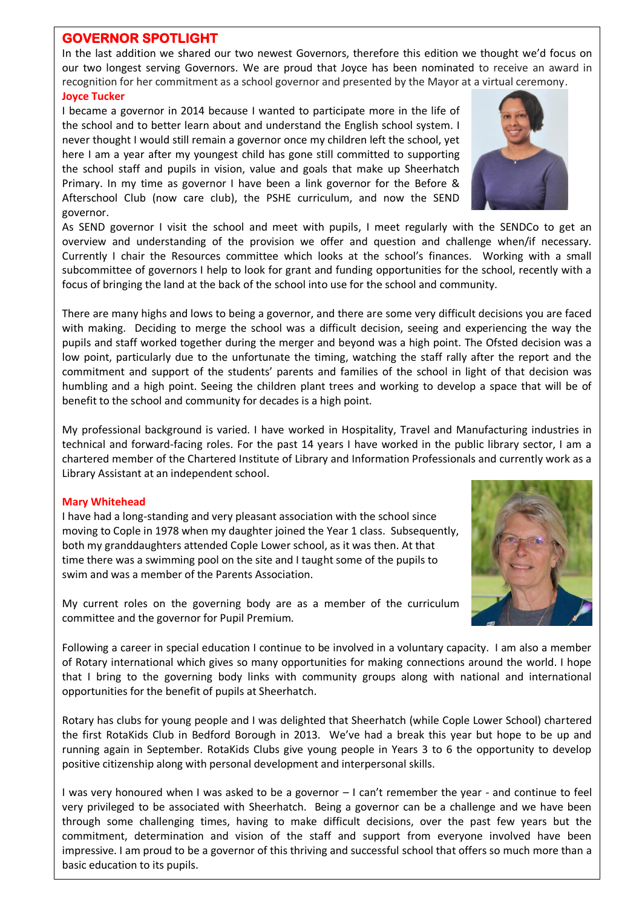#### **GOVERNOR SPOTLIGHT**

In the last addition we shared our two newest Governors, therefore this edition we thought we'd focus on our two longest serving Governors. We are proud that Joyce has been nominated to receive an award in recognition for her commitment as a school governor and presented by the Mayor at a virtual ceremony. **Joyce Tucker** 

I became a governor in 2014 because I wanted to participate more in the life of the school and to better learn about and understand the English school system. I never thought I would still remain a governor once my children left the school, yet here I am a year after my youngest child has gone still committed to supporting the school staff and pupils in vision, value and goals that make up Sheerhatch Primary. In my time as governor I have been a link governor for the Before & Afterschool Club (now care club), the PSHE curriculum, and now the SEND governor.

As SEND governor I visit the school and meet with pupils, I meet regularly with the SENDCo to get an overview and understanding of the provision we offer and question and challenge when/if necessary. Currently I chair the Resources committee which looks at the school's finances. Working with a small subcommittee of governors I help to look for grant and funding opportunities for the school, recently with a focus of bringing the land at the back of the school into use for the school and community.

There are many highs and lows to being a governor, and there are some very difficult decisions you are faced with making. Deciding to merge the school was a difficult decision, seeing and experiencing the way the pupils and staff worked together during the merger and beyond was a high point. The Ofsted decision was a low point, particularly due to the unfortunate the timing, watching the staff rally after the report and the commitment and support of the students' parents and families of the school in light of that decision was humbling and a high point. Seeing the children plant trees and working to develop a space that will be of benefit to the school and community for decades is a high point.

My professional background is varied. I have worked in Hospitality, Travel and Manufacturing industries in technical and forward-facing roles. For the past 14 years I have worked in the public library sector, I am a chartered member of the Chartered Institute of Library and Information Professionals and currently work as a Library Assistant at an independent school.

#### **Mary Whitehead**

I have had a long-standing and very pleasant association with the school since moving to Cople in 1978 when my daughter joined the Year 1 class. Subsequently, both my granddaughters attended Cople Lower school, as it was then. At that time there was a swimming pool on the site and I taught some of the pupils to swim and was a member of the Parents Association.

My current roles on the governing body are as a member of the curriculum committee and the governor for Pupil Premium.

Following a career in special education I continue to be involved in a voluntary capacity. I am also a member of Rotary international which gives so many opportunities for making connections around the world. I hope that I bring to the governing body links with community groups along with national and international opportunities for the benefit of pupils at Sheerhatch.

Rotary has clubs for young people and I was delighted that Sheerhatch (while Cople Lower School) chartered the first RotaKids Club in Bedford Borough in 2013. We've had a break this year but hope to be up and running again in September. RotaKids Clubs give young people in Years 3 to 6 the opportunity to develop positive citizenship along with personal development and interpersonal skills.

I was very honoured when I was asked to be a governor – I can't remember the year - and continue to feel very privileged to be associated with Sheerhatch. Being a governor can be a challenge and we have been through some challenging times, having to make difficult decisions, over the past few years but the commitment, determination and vision of the staff and support from everyone involved have been impressive. I am proud to be a governor of this thriving and successful school that offers so much more than a basic education to its pupils.